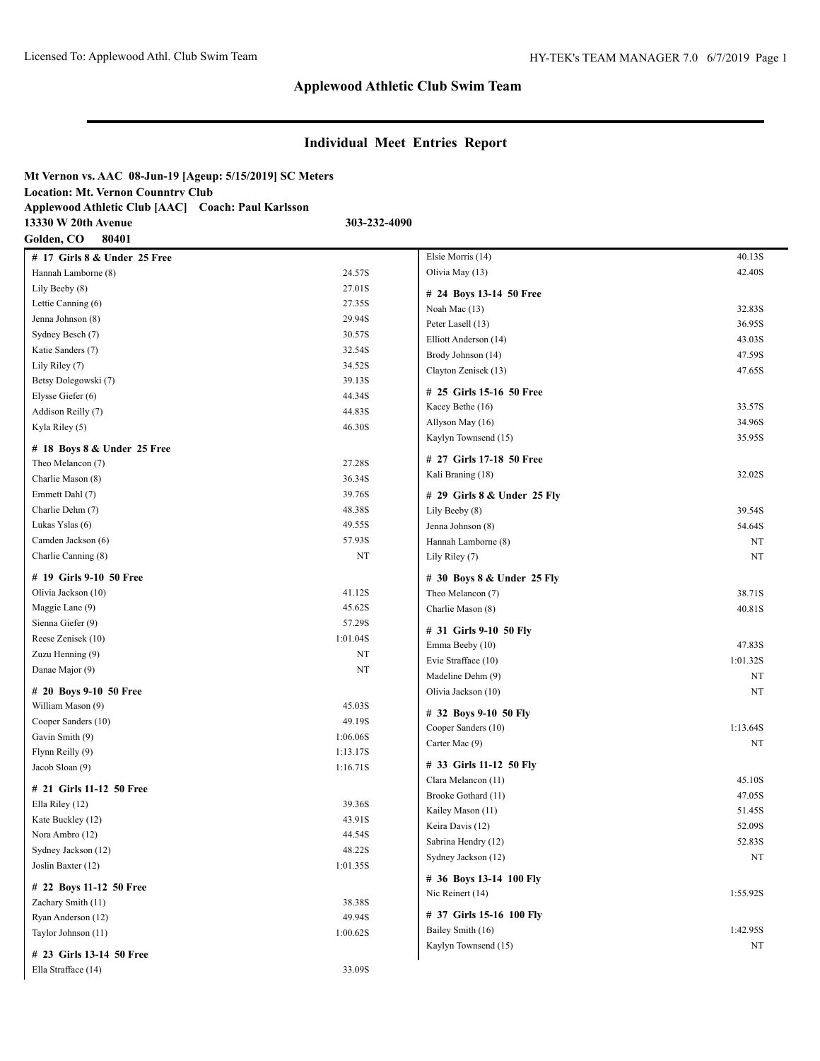# **Individual Meet Entries Report**

| Mt Vernon vs. AAC 08-Jun-19 [Ageup: 5/15/2019] SC Meters |              |
|----------------------------------------------------------|--------------|
| <b>Location: Mt. Vernon Counntry Club</b>                |              |
| Applewood Athletic Club [AAC] Coach: Paul Karlsson       |              |
| 13330 W 20th Avenue                                      | 303-232-4090 |

**Golden, CO 80401**

| # 17 Girls 8 & Under 25 Free |          |
|------------------------------|----------|
| Hannah Lamborne (8)          | 24.57S   |
| Lily Beeby (8)               | 27.01S   |
| Lettie Canning (6)           | 27.35S   |
| Jenna Johnson (8)            | 29.94S   |
| Sydney Besch (7)             | 30.57S   |
| Katie Sanders (7)            | 32.54S   |
| Lily Riley (7)               | 34.52S   |
| Betsy Dolegowski (7)         | 39.13S   |
| Elysse Giefer (6)            | 44.34S   |
| Addison Reilly (7)           | 44.83S   |
| Kyla Riley (5)               | 46.30S   |
| # 18 Boys 8 & Under 25 Free  |          |
| Theo Melancon (7)            | 27.28S   |
| Charlie Mason (8)            | 36.34S   |
| Emmett Dahl (7)              | 39.76S   |
| Charlie Dehm (7)             | 48.38S   |
| Lukas Yslas (6)              | 49.55S   |
| Camden Jackson (6)           | 57.93S   |
| Charlie Canning (8)          | NT       |
|                              |          |
| # 19 Girls 9-10 50 Free      |          |
| Olivia Jackson (10)          | 41.12S   |
| Maggie Lane (9)              | 45.62S   |
| Sienna Giefer (9)            | 57.29S   |
| Reese Zenisek (10)           | 1:01.04S |
| Zuzu Henning (9)             | NT       |
| Danae Major (9)              | NT       |
| # 20 Boys 9-10 50 Free       |          |
| William Mason (9)            | 45.03S   |
| Cooper Sanders (10)          | 49.19S   |
| Gavin Smith (9)              | 1:06.06S |
| Flynn Reilly (9)             | 1:13.17S |
| Jacob Sloan (9)              | 1:16.71S |
| # 21 Girls 11-12 50 Free     |          |
| Ella Riley (12)              | 39.36S   |
| Kate Buckley (12)            | 43.91S   |
| Nora Ambro (12)              | 44.54S   |
| Sydney Jackson (12)          | 48.22S   |
| Joslin Baxter (12)           | 1:01.35S |
| # 22 Boys 11-12 50 Free      |          |
| Zachary Smith (11)           | 38.38S   |
| Ryan Anderson (12)           | 49.94S   |
| Taylor Johnson (11)          | 1:00.62S |
|                              |          |
| # 23 Girls 13-14 50 Free     |          |
| Ella Strafface (14)          | 33.09S   |

| Elsie Morris (14)                               | 40.13S           |
|-------------------------------------------------|------------------|
| Olivia May (13)                                 | 42.40S           |
| # 24 Boys 13-14 50 Free                         |                  |
| Noah Mac (13)                                   | 32.83S           |
| Peter Lasell (13)                               | 36.95S           |
| Elliott Anderson (14)                           | 43.03S           |
| Brody Johnson (14)                              | 47.59S           |
| Clayton Zenisek (13)                            | 47.65S           |
| # 25 Girls 15-16 50 Free                        |                  |
| Kacey Bethe (16)                                | 33.57S           |
| Allyson May (16)                                | 34.96S           |
| Kaylyn Townsend (15)                            | 35.95S           |
| # 27 Girls 17-18 50 Free                        |                  |
| Kali Braning (18)                               | 32.02S           |
|                                                 |                  |
| # 29 Girls 8 & Under 25 Fly<br>Lily Beeby (8)   | 39.54S           |
| Jenna Johnson (8)                               | 54.64S           |
| Hannah Lamborne (8)                             | NT               |
| Lily Riley (7)                                  | NT               |
|                                                 |                  |
| # 30 Boys 8 & Under 25 Fly<br>Theo Melancon (7) |                  |
| Charlie Mason (8)                               | 38.71S<br>40.81S |
|                                                 |                  |
| # 31 Girls 9-10 50 Fly                          |                  |
| Emma Beeby (10)                                 | 47.83S           |
| Evie Strafface (10)                             | 1:01.32S<br>NT   |
| Madeline Dehm (9)<br>Olivia Jackson (10)        | NT               |
|                                                 |                  |
| # 32 Boys 9-10 50 Fly                           |                  |
| Cooper Sanders (10)                             | 1:13.64S         |
| Carter Mac (9)                                  | NT               |
| # 33 Girls 11-12 50 Fly                         |                  |
| Clara Melancon (11)                             | 45.10S           |
| Brooke Gothard (11)                             | 47.05S           |
| Kailey Mason (11)                               | 51.45S           |
| Keira Davis (12)                                | 52.09S           |
| Sabrina Hendry (12)                             | 52.83S           |
| Sydney Jackson (12)                             | NΤ               |
| # 36 Boys 13-14 100 Fly                         |                  |
| Nic Reinert (14)                                | 1:55.92S         |
| # 37 Girls 15-16 100 Fly                        |                  |
| Bailey Smith (16)                               | 1:42.95S         |
| Kaylyn Townsend (15)                            | NΤ               |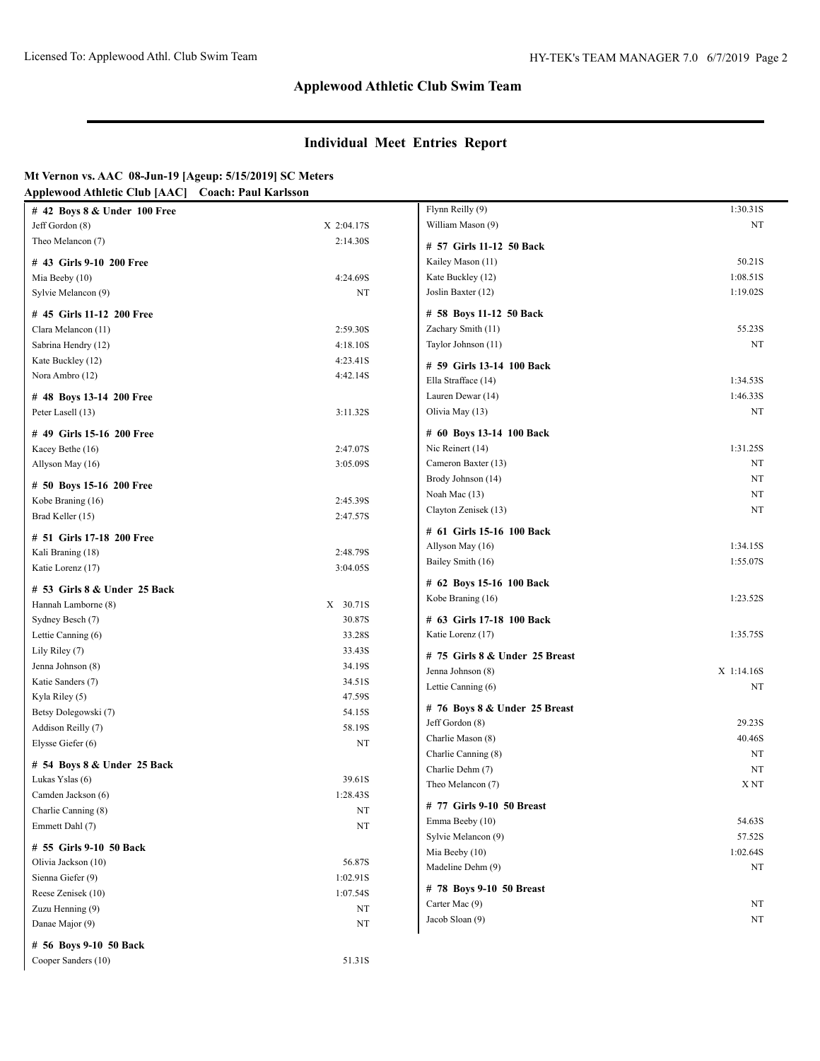### **Individual Meet Entries Report**

#### **Mt Vernon vs. AAC 08-Jun-19 [Ageup: 5/15/2019] SC Meters Applewood Athletic Club [AAC] Coach: Paul Karlsson**

| $\#$ 42 Boys 8 & Under 100 Free |            | Flynn Reilly (9)                    | 1:30.31S        |
|---------------------------------|------------|-------------------------------------|-----------------|
| Jeff Gordon (8)                 | X 2:04.17S | William Mason (9)                   | NT              |
| Theo Melancon (7)               | 2:14.30S   | # 57 Girls 11-12 50 Back            |                 |
| # 43 Girls 9-10 200 Free        |            | Kailey Mason (11)                   | 50.21S          |
| Mia Beeby (10)                  | 4:24.69S   | Kate Buckley (12)                   | 1:08.51S        |
| Sylvie Melancon (9)             | NT         | Joslin Baxter (12)                  | 1:19.02S        |
| # 45 Girls 11-12 200 Free       |            | # 58 Boys 11-12 50 Back             |                 |
| Clara Melancon (11)             | 2:59.30S   | Zachary Smith (11)                  | 55.23S          |
| Sabrina Hendry (12)             | 4:18.10S   | Taylor Johnson (11)                 | NT              |
| Kate Buckley (12)               | 4:23.41S   | # 59 Girls 13-14 100 Back           |                 |
| Nora Ambro (12)                 | 4:42.14S   | Ella Strafface (14)                 | 1:34.53S        |
| # 48 Boys 13-14 200 Free        |            | Lauren Dewar (14)                   | 1:46.33S        |
| Peter Lasell (13)               | 3:11.32S   | Olivia May (13)                     | NT              |
|                                 |            |                                     |                 |
| # 49 Girls 15-16 200 Free       |            | # 60 Boys 13-14 100 Back            |                 |
| Kacey Bethe (16)                | 2:47.07S   | Nic Reinert (14)                    | 1:31.25S        |
| Allyson May (16)                | 3:05.09S   | Cameron Baxter (13)                 | NT              |
| # 50 Boys 15-16 200 Free        |            | Brody Johnson (14)                  | NT              |
| Kobe Braning (16)               | 2:45.39S   | Noah Mac (13)                       | NT              |
| Brad Keller (15)                | 2:47.57S   | Clayton Zenisek (13)                | NT              |
| # 51 Girls 17-18 200 Free       |            | # 61 Girls 15-16 100 Back           |                 |
| Kali Braning (18)               | 2:48.79S   | Allyson May (16)                    | 1:34.15S        |
| Katie Lorenz (17)               | 3:04.05S   | Bailey Smith (16)                   | 1:55.07S        |
|                                 |            | # 62 Boys 15-16 100 Back            |                 |
| # 53 Girls 8 & Under 25 Back    |            | Kobe Braning (16)                   | 1:23.52S        |
| Hannah Lamborne (8)             | X 30.71S   |                                     |                 |
| Sydney Besch (7)                | 30.87S     | # 63 Girls 17-18 100 Back           |                 |
| Lettie Canning (6)              | 33.28S     | Katie Lorenz (17)                   | 1:35.75S        |
| Lily Riley (7)                  | 33.43S     | $# 75$ Girls 8 & Under 25 Breast    |                 |
| Jenna Johnson (8)               | 34.19S     | Jenna Johnson (8)                   | X 1:14.16S      |
| Katie Sanders (7)               | 34.51S     | Lettie Canning (6)                  | NT              |
| Kyla Riley (5)                  | 47.59S     | # 76 Boys 8 & Under 25 Breast       |                 |
| Betsy Dolegowski (7)            | 54.15S     | Jeff Gordon (8)                     | 29.23S          |
| Addison Reilly (7)              | 58.19S     | Charlie Mason (8)                   | 40.46S          |
| Elysse Giefer (6)               | NT         | Charlie Canning (8)                 | NT              |
| # 54 Boys 8 & Under 25 Back     |            | Charlie Dehm (7)                    | NT              |
| Lukas Yslas (6)                 | 39.61S     | Theo Melancon (7)                   | X <sub>NT</sub> |
| Camden Jackson (6)              | 1:28.43S   |                                     |                 |
| Charlie Canning (8)             | NT         | # 77 Girls 9-10 50 Breast           |                 |
| Emmett Dahl (7)                 | $\rm{NT}$  | Emma Beeby (10)                     | 54.63S          |
| # 55 Girls 9-10 50 Back         |            | Sylvie Melancon (9)                 | 57.52S          |
| Olivia Jackson (10)             | 56.87S     | Mia Beeby (10)<br>Madeline Dehm (9) | 1:02.64S<br>NT  |
| Sienna Giefer (9)               | 1:02.91S   |                                     |                 |
| Reese Zenisek (10)              | 1:07.54S   | # 78 Boys 9-10 50 Breast            |                 |
| Zuzu Henning (9)                | NT         | Carter Mac (9)                      | NT              |
| Danae Major (9)                 | NT         | Jacob Sloan (9)                     | NT              |
| # 56 Boys 9-10 50 Back          |            |                                     |                 |
| Cooper Sanders (10)             | 51.31S     |                                     |                 |
|                                 |            |                                     |                 |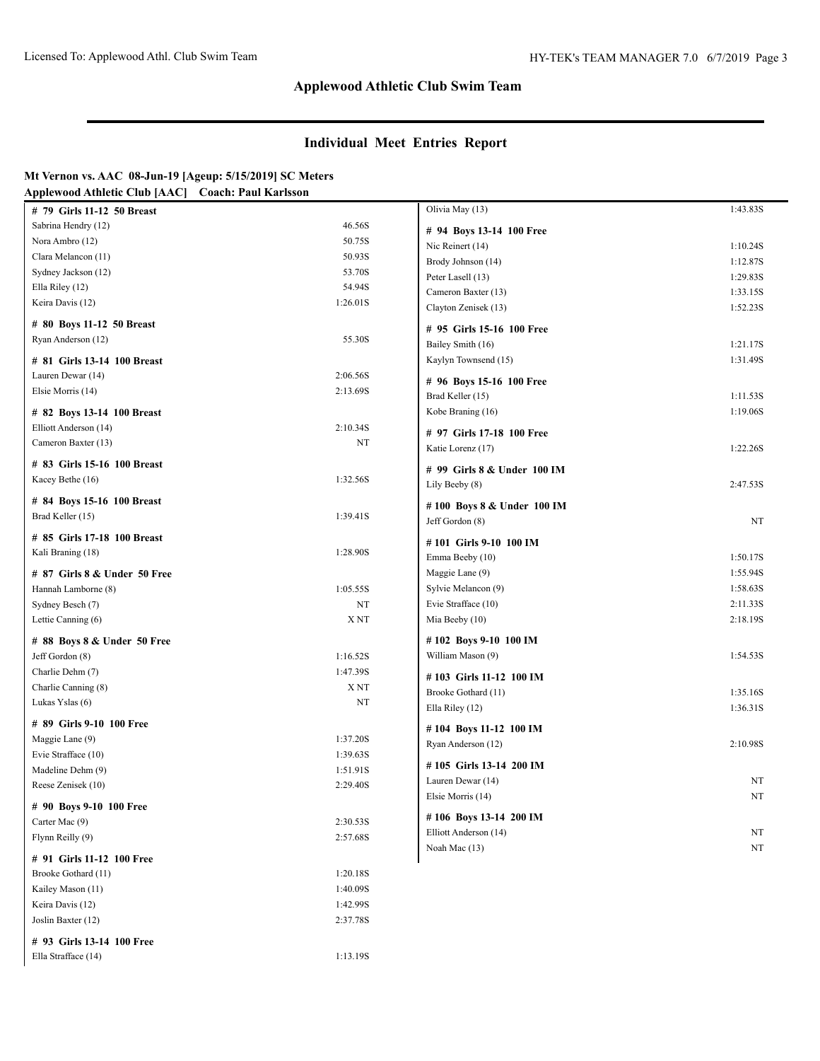# **Individual Meet Entries Report**

| Mt Vernon vs. AAC  08-Jun-19 [Ageup: 5/15/2019] SC Meters |  |
|-----------------------------------------------------------|--|
|                                                           |  |

Ella Strafface (14) 1:13.19S

| # 79 Girls 11-12 50 Breast                     |                 | Olivia May (13)             | 1:43.83S |
|------------------------------------------------|-----------------|-----------------------------|----------|
| Sabrina Hendry (12)                            | 46.56S          | # 94 Boys 13-14 100 Free    |          |
| Nora Ambro (12)                                | 50.75S          | Nic Reinert (14)            | 1:10.24S |
| Clara Melancon (11)                            | 50.93S          | Brody Johnson (14)          | 1:12.87S |
| Sydney Jackson (12)                            | 53.70S          | Peter Lasell (13)           | 1:29.83S |
| Ella Riley (12)                                | 54.94S          | Cameron Baxter (13)         | 1:33.15S |
| Keira Davis (12)                               | 1:26.01S        | Clayton Zenisek (13)        | 1:52.23S |
| # 80 Boys 11-12 50 Breast                      |                 |                             |          |
| Ryan Anderson (12)                             | 55.30S          | # 95 Girls 15-16 100 Free   |          |
|                                                |                 | Bailey Smith (16)           | 1:21.17S |
| # 81 Girls 13-14 100 Breast                    |                 | Kaylyn Townsend (15)        | 1:31.49S |
| Lauren Dewar (14)                              | 2:06.56S        | # 96 Boys 15-16 100 Free    |          |
| Elsie Morris (14)                              | 2:13.69S        | Brad Keller (15)            | 1:11.53S |
| # 82 Boys 13-14 100 Breast                     |                 | Kobe Braning (16)           | 1:19.06S |
| Elliott Anderson (14)                          | 2:10.34S        |                             |          |
| Cameron Baxter (13)                            | NT              | # 97 Girls 17-18 100 Free   |          |
|                                                |                 | Katie Lorenz (17)           | 1:22.26S |
| # 83 Girls 15-16 100 Breast                    |                 | # 99 Girls 8 & Under 100 IM |          |
| Kacey Bethe (16)                               | 1:32.56S        | Lily Beeby (8)              | 2:47.53S |
| # 84 Boys 15-16 100 Breast                     |                 |                             |          |
| Brad Keller (15)                               | 1:39.41S        | #100 Boys 8 & Under 100 IM  |          |
|                                                |                 | Jeff Gordon (8)             | NT       |
| # 85 Girls 17-18 100 Breast                    |                 | #101 Girls 9-10 100 IM      |          |
| Kali Braning (18)                              | 1:28.90S        | Emma Beeby (10)             | 1:50.17S |
| # 87 Girls 8 & Under 50 Free                   |                 | Maggie Lane (9)             | 1:55.94S |
| Hannah Lamborne (8)                            | 1:05.55S        | Sylvie Melancon (9)         | 1:58.63S |
| Sydney Besch (7)                               | NT              | Evie Strafface (10)         | 2:11.33S |
| Lettie Canning (6)                             | X <sub>NT</sub> | Mia Beeby (10)              | 2:18.19S |
|                                                |                 | #102 Boys 9-10 100 IM       |          |
| # 88 Boys 8 & Under 50 Free<br>Jeff Gordon (8) | 1:16.52S        | William Mason (9)           | 1:54.53S |
|                                                |                 |                             |          |
| Charlie Dehm (7)                               | 1:47.39S<br>XNT | #103 Girls 11-12 100 IM     |          |
| Charlie Canning (8)                            |                 | Brooke Gothard (11)         | 1:35.16S |
| Lukas Yslas (6)                                | NT              | Ella Riley (12)             | 1:36.31S |
| # 89 Girls 9-10 100 Free                       |                 | #104 Boys 11-12 100 IM      |          |
| Maggie Lane (9)                                | 1:37.20S        | Ryan Anderson (12)          | 2:10.98S |
| Evie Strafface (10)                            | 1:39.63S        |                             |          |
| Madeline Dehm (9)                              | 1:51.91S        | #105 Girls 13-14 200 IM     |          |
| Reese Zenisek (10)                             | 2:29.40S        | Lauren Dewar (14)           | NT       |
| # 90 Boys 9-10 100 Free                        |                 | Elsie Morris (14)           | NT       |
| Carter Mac (9)                                 | 2:30.53S        | #106 Boys 13-14 200 IM      |          |
| Flynn Reilly (9)                               | 2:57.68S        | Elliott Anderson (14)       | NT       |
|                                                |                 | Noah Mac (13)               | NT       |
| # 91 Girls 11-12 100 Free                      |                 |                             |          |
| Brooke Gothard (11)                            | 1:20.18S        |                             |          |
| Kailey Mason (11)                              | 1:40.09S        |                             |          |
| Keira Davis (12)                               | 1:42.99S        |                             |          |
| Joslin Baxter (12)                             | 2:37.78S        |                             |          |
| # 93 Girls 13-14 100 Free                      |                 |                             |          |
|                                                |                 |                             |          |